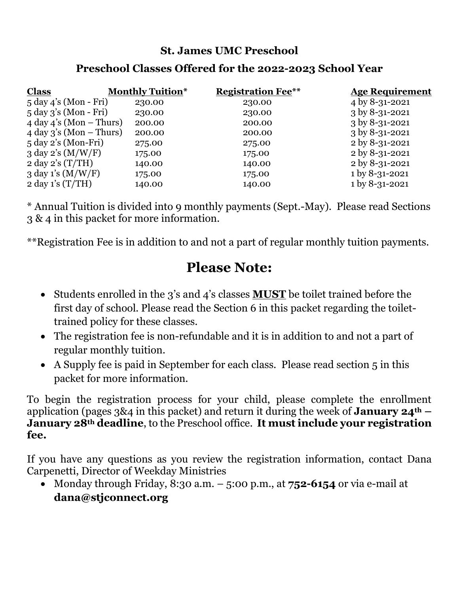## **St. James UMC Preschool**

## **Preschool Classes Offered for the 2022-2023 School Year**

| <b>Class</b>                           | <b>Monthly Tuition*</b> | <b>Registration Fee**</b> | <b>Age Requirement</b>        |
|----------------------------------------|-------------------------|---------------------------|-------------------------------|
| $5 \text{ day } 4$ 's (Mon - Fri)      | 230.00                  | 230.00                    | 4 by 8-31-2021                |
| 5 day 3's (Mon - Fri)                  | 230.00                  | 230.00                    | 3 by 8-31-2021                |
| $4 day 4's (Mon - Thus)$               | 200.00                  | 200.00                    | $3 \text{ by } 8 - 31 - 2021$ |
| $4 day 3's (Mon - Thus)$               | 200.00                  | 200.00                    | $3$ by 8-31-2021              |
| $5 \text{ day } 2's \text{ (Mon-Fri)}$ | 275.00                  | 275.00                    | 2 by 8-31-2021                |
| $3$ day $2$ 's $(M/W/F)$               | 175.00                  | 175.00                    | 2 by 8-31-2021                |
| $2 \text{ day } 2 \text{'s (T/TH)}$    | 140.00                  | 140.00                    | 2 by 8-31-2021                |
| 3 day 1's $(M/W/F)$                    | 175.00                  | 175.00                    | 1 by 8-31-2021                |
| $2 \text{ day 1's (T/TH)}$             | 140.00                  | 140.00                    | 1 by 8-31-2021                |
|                                        |                         |                           |                               |

\* Annual Tuition is divided into 9 monthly payments (Sept.-May). Please read Sections 3 & 4 in this packet for more information.

\*\*Registration Fee is in addition to and not a part of regular monthly tuition payments.

# **Please Note:**

- Students enrolled in the 3's and 4's classes **MUST** be toilet trained before the first day of school. Please read the Section 6 in this packet regarding the toilettrained policy for these classes.
- The registration fee is non-refundable and it is in addition to and not a part of regular monthly tuition.
- A Supply fee is paid in September for each class. Please read section 5 in this packet for more information.

To begin the registration process for your child, please complete the enrollment application (pages 3&4 in this packet) and return it during the week of **January 24th – January 28th deadline**, to the Preschool office. **It must include your registration fee.**

If you have any questions as you review the registration information, contact Dana Carpenetti, Director of Weekday Ministries

• Monday through Friday, 8:30 a.m. – 5:00 p.m., at **752-6154** or via e-mail at **dana@stjconnect.org**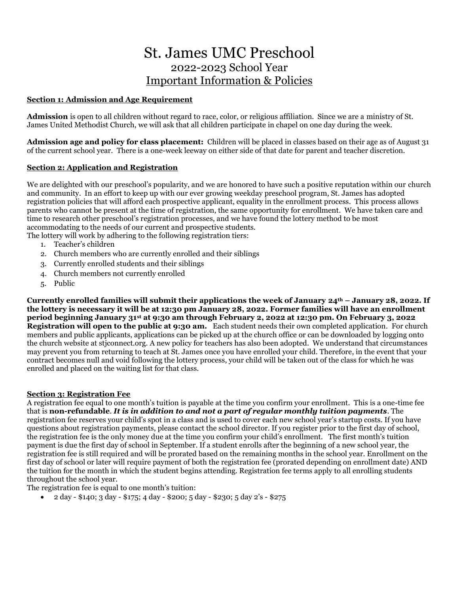## St. James UMC Preschool 2022-2023 School Year Important Information & Policies

#### **Section 1: Admission and Age Requirement**

**Admission** is open to all children without regard to race, color, or religious affiliation. Since we are a ministry of St. James United Methodist Church, we will ask that all children participate in chapel on one day during the week.

**Admission age and policy for class placement:** Children will be placed in classes based on their age as of August 31 of the current school year. There is a one-week leeway on either side of that date for parent and teacher discretion.

#### **Section 2: Application and Registration**

We are delighted with our preschool's popularity, and we are honored to have such a positive reputation within our church and community. In an effort to keep up with our ever growing weekday preschool program, St. James has adopted registration policies that will afford each prospective applicant, equality in the enrollment process. This process allows parents who cannot be present at the time of registration, the same opportunity for enrollment. We have taken care and time to research other preschool's registration processes, and we have found the lottery method to be most accommodating to the needs of our current and prospective students.

The lottery will work by adhering to the following registration tiers:

- 1. Teacher's children
- 2. Church members who are currently enrolled and their siblings
- 3. Currently enrolled students and their siblings
- 4. Church members not currently enrolled
- 5. Public

**Currently enrolled families will submit their applications the week of January 24th – January 28, 2022. If the lottery is necessary it will be at 12:30 pm January 28, 2022. Former families will have an enrollment period beginning January 31st at 9:30 am through February 2, 2022 at 12:30 pm. On February 3, 2022 Registration will open to the public at 9:30 am.** Each student needs their own completed application. For church members and public applicants, applications can be picked up at the church office or can be downloaded by logging onto the church website at stjconnect.org. A new policy for teachers has also been adopted. We understand that circumstances may prevent you from returning to teach at St. James once you have enrolled your child. Therefore, in the event that your contract becomes null and void following the lottery process, your child will be taken out of the class for which he was enrolled and placed on the waiting list for that class.

#### **Section 3: Registration Fee**

A registration fee equal to one month's tuition is payable at the time you confirm your enrollment. This is a one-time fee that is **non-refundable**. *It is in addition to and not a part of regular monthly tuition payments*. The registration fee reserves your child's spot in a class and is used to cover each new school year's startup costs. If you have questions about registration payments, please contact the school director. If you register prior to the first day of school, the registration fee is the only money due at the time you confirm your child's enrollment. The first month's tuition payment is due the first day of school in September. If a student enrolls after the beginning of a new school year, the registration fee is still required and will be prorated based on the remaining months in the school year. Enrollment on the first day of school or later will require payment of both the registration fee (prorated depending on enrollment date) AND the tuition for the month in which the student begins attending. Registration fee terms apply to all enrolling students throughout the school year.

The registration fee is equal to one month's tuition:

• 2 day - \$140; 3 day - \$175; 4 day - \$200; 5 day - \$230; 5 day 2's - \$275